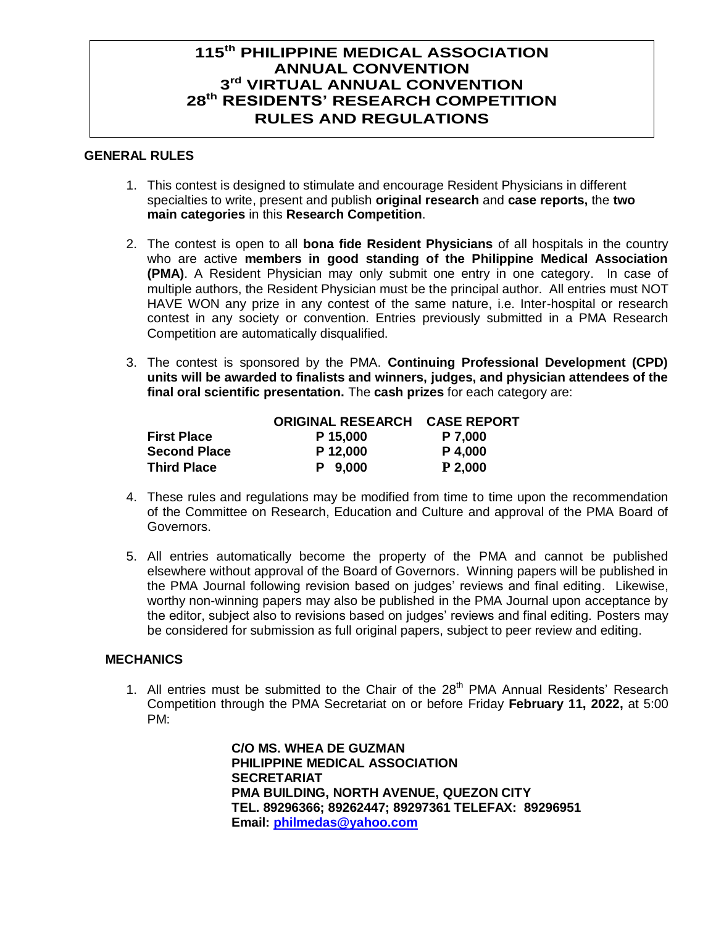## **115 th PHILIPPINE MEDICAL ASSOCIATION ANNUAL CONVENTION 3 rd VIRTUAL ANNUAL CONVENTION 28 th RESIDENTS' RESEARCH COMPETITION RULES AND REGULATIONS**

## **GENERAL RULES**

- 1. This contest is designed to stimulate and encourage Resident Physicians in different specialties to write, present and publish **original research** and **case reports,** the **two main categories** in this **Research Competition**.
- 2. The contest is open to all **bona fide Resident Physicians** of all hospitals in the country who are active **members in good standing of the Philippine Medical Association (PMA)**. A Resident Physician may only submit one entry in one category. In case of multiple authors, the Resident Physician must be the principal author. All entries must NOT HAVE WON any prize in any contest of the same nature, i.e. Inter-hospital or research contest in any society or convention. Entries previously submitted in a PMA Research Competition are automatically disqualified.
- 3. The contest is sponsored by the PMA. **Continuing Professional Development (CPD) units will be awarded to finalists and winners, judges, and physician attendees of the final oral scientific presentation.** The **cash prizes** for each category are:

|                     | <b>ORIGINAL RESEARCH CASE REPORT</b> |           |
|---------------------|--------------------------------------|-----------|
| <b>First Place</b>  | P 15,000                             | P 7.000   |
| <b>Second Place</b> | P 12,000                             | P 4,000   |
| <b>Third Place</b>  | P 9.000                              | $P$ 2,000 |

- 4. These rules and regulations may be modified from time to time upon the recommendation of the Committee on Research, Education and Culture and approval of the PMA Board of Governors.
- 5. All entries automatically become the property of the PMA and cannot be published elsewhere without approval of the Board of Governors. Winning papers will be published in the PMA Journal following revision based on judges' reviews and final editing. Likewise, worthy non-winning papers may also be published in the PMA Journal upon acceptance by the editor, subject also to revisions based on judges' reviews and final editing. Posters may be considered for submission as full original papers, subject to peer review and editing.

## **MECHANICS**

1. All entries must be submitted to the Chair of the 28<sup>th</sup> PMA Annual Residents' Research Competition through the PMA Secretariat on or before Friday **February 11, 2022,** at 5:00 PM:

> **C/O MS. WHEA DE GUZMAN PHILIPPINE MEDICAL ASSOCIATION SECRETARIAT PMA BUILDING, NORTH AVENUE, QUEZON CITY TEL. 89296366; 89262447; 89297361 TELEFAX: 89296951 Email: [philmedas@yahoo.com](mailto:philmedas@yahoo.com)**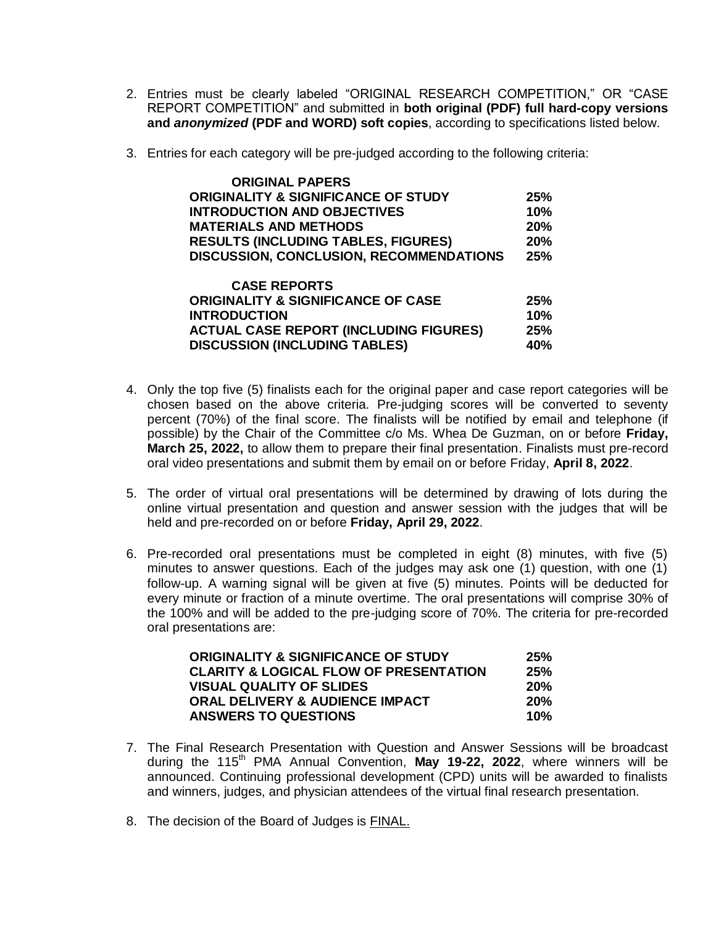- 2. Entries must be clearly labeled "ORIGINAL RESEARCH COMPETITION," OR "CASE REPORT COMPETITION" and submitted in **both original (PDF) full hard-copy versions and** *anonymized* **(PDF and WORD) soft copies**, according to specifications listed below.
- 3. Entries for each category will be pre-judged according to the following criteria:

| <b>ORIGINAL PAPERS</b>                         |            |
|------------------------------------------------|------------|
| <b>ORIGINALITY &amp; SIGNIFICANCE OF STUDY</b> | <b>25%</b> |
| <b>INTRODUCTION AND OBJECTIVES</b>             | 10%        |
| <b>MATERIALS AND METHODS</b>                   | <b>20%</b> |
| <b>RESULTS (INCLUDING TABLES, FIGURES)</b>     | 20%        |
| <b>DISCUSSION, CONCLUSION, RECOMMENDATIONS</b> | 25%        |
| <b>CASE REPORTS</b>                            |            |
| <b>ORIGINALITY &amp; SIGNIFICANCE OF CASE</b>  | 25%        |
| <b>INTRODUCTION</b>                            | 10%        |
| <b>ACTUAL CASE REPORT (INCLUDING FIGURES)</b>  | 25%        |
| <b>DISCUSSION (INCLUDING TABLES)</b>           | 40%        |

- 4. Only the top five (5) finalists each for the original paper and case report categories will be chosen based on the above criteria. Pre-judging scores will be converted to seventy percent (70%) of the final score. The finalists will be notified by email and telephone (if possible) by the Chair of the Committee c/o Ms. Whea De Guzman, on or before **Friday, March 25, 2022,** to allow them to prepare their final presentation. Finalists must pre-record oral video presentations and submit them by email on or before Friday, **April 8, 2022**.
- 5. The order of virtual oral presentations will be determined by drawing of lots during the online virtual presentation and question and answer session with the judges that will be held and pre-recorded on or before **Friday, April 29, 2022**.
- 6. Pre-recorded oral presentations must be completed in eight (8) minutes, with five (5) minutes to answer questions. Each of the judges may ask one (1) question, with one (1) follow-up. A warning signal will be given at five (5) minutes. Points will be deducted for every minute or fraction of a minute overtime. The oral presentations will comprise 30% of the 100% and will be added to the pre-judging score of 70%. The criteria for pre-recorded oral presentations are:

| ORIGINALITY & SIGNIFICANCE OF STUDY               | 25%        |
|---------------------------------------------------|------------|
| <b>CLARITY &amp; LOGICAL FLOW OF PRESENTATION</b> | 25%        |
| <b>VISUAL QUALITY OF SLIDES</b>                   | <b>20%</b> |
| <b>ORAL DELIVERY &amp; AUDIENCE IMPACT</b>        | 20%        |
| <b>ANSWERS TO QUESTIONS</b>                       | 10%        |

- 7. The Final Research Presentation with Question and Answer Sessions will be broadcast during the 115<sup>th</sup> PMA Annual Convention, May 19-22, 2022, where winners will be announced. Continuing professional development (CPD) units will be awarded to finalists and winners, judges, and physician attendees of the virtual final research presentation.
- 8. The decision of the Board of Judges is FINAL.